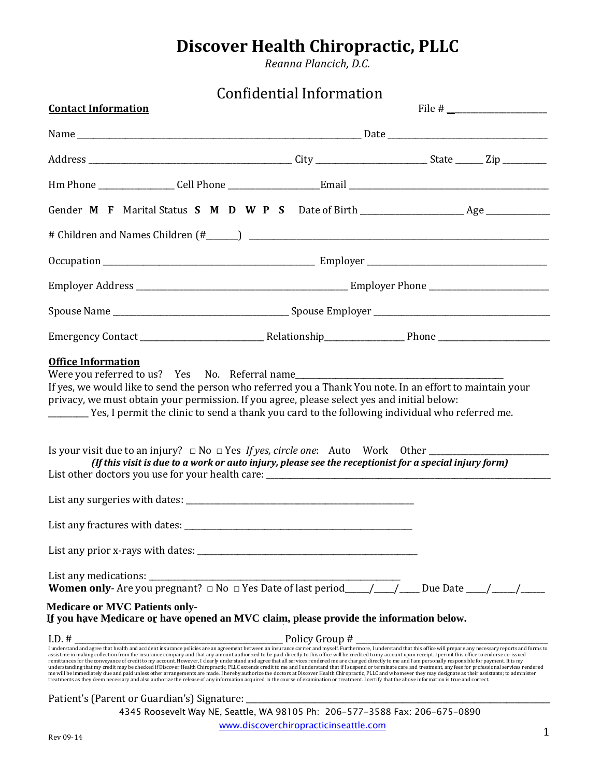*Reanna Plancich, D.C.*

# Confidential Information

| <b>Contact Information</b>                                                                                                                                                                                                                                                                                                                                                                                                                                                                                                                                                                                                                                                                                                                                                                                                                                                                                                                                                                                                                                                                                                                                                                                                                                                                                                      |                                       |   |  |  |
|---------------------------------------------------------------------------------------------------------------------------------------------------------------------------------------------------------------------------------------------------------------------------------------------------------------------------------------------------------------------------------------------------------------------------------------------------------------------------------------------------------------------------------------------------------------------------------------------------------------------------------------------------------------------------------------------------------------------------------------------------------------------------------------------------------------------------------------------------------------------------------------------------------------------------------------------------------------------------------------------------------------------------------------------------------------------------------------------------------------------------------------------------------------------------------------------------------------------------------------------------------------------------------------------------------------------------------|---------------------------------------|---|--|--|
|                                                                                                                                                                                                                                                                                                                                                                                                                                                                                                                                                                                                                                                                                                                                                                                                                                                                                                                                                                                                                                                                                                                                                                                                                                                                                                                                 |                                       |   |  |  |
|                                                                                                                                                                                                                                                                                                                                                                                                                                                                                                                                                                                                                                                                                                                                                                                                                                                                                                                                                                                                                                                                                                                                                                                                                                                                                                                                 |                                       |   |  |  |
|                                                                                                                                                                                                                                                                                                                                                                                                                                                                                                                                                                                                                                                                                                                                                                                                                                                                                                                                                                                                                                                                                                                                                                                                                                                                                                                                 |                                       |   |  |  |
|                                                                                                                                                                                                                                                                                                                                                                                                                                                                                                                                                                                                                                                                                                                                                                                                                                                                                                                                                                                                                                                                                                                                                                                                                                                                                                                                 |                                       |   |  |  |
|                                                                                                                                                                                                                                                                                                                                                                                                                                                                                                                                                                                                                                                                                                                                                                                                                                                                                                                                                                                                                                                                                                                                                                                                                                                                                                                                 |                                       |   |  |  |
|                                                                                                                                                                                                                                                                                                                                                                                                                                                                                                                                                                                                                                                                                                                                                                                                                                                                                                                                                                                                                                                                                                                                                                                                                                                                                                                                 |                                       |   |  |  |
|                                                                                                                                                                                                                                                                                                                                                                                                                                                                                                                                                                                                                                                                                                                                                                                                                                                                                                                                                                                                                                                                                                                                                                                                                                                                                                                                 |                                       |   |  |  |
|                                                                                                                                                                                                                                                                                                                                                                                                                                                                                                                                                                                                                                                                                                                                                                                                                                                                                                                                                                                                                                                                                                                                                                                                                                                                                                                                 |                                       |   |  |  |
|                                                                                                                                                                                                                                                                                                                                                                                                                                                                                                                                                                                                                                                                                                                                                                                                                                                                                                                                                                                                                                                                                                                                                                                                                                                                                                                                 |                                       |   |  |  |
| Were you referred to us? Yes No. Referral name___________________________________<br>If yes, we would like to send the person who referred you a Thank You note. In an effort to maintain your<br>privacy, we must obtain your permission. If you agree, please select yes and initial below:<br>Is your visit due to an injury? $\Box$ No $\Box$ Yes If yes, circle one: Auto Work Other ________<br>(If this visit is due to a work or auto injury, please see the receptionist for a special injury form)                                                                                                                                                                                                                                                                                                                                                                                                                                                                                                                                                                                                                                                                                                                                                                                                                    |                                       |   |  |  |
|                                                                                                                                                                                                                                                                                                                                                                                                                                                                                                                                                                                                                                                                                                                                                                                                                                                                                                                                                                                                                                                                                                                                                                                                                                                                                                                                 |                                       |   |  |  |
|                                                                                                                                                                                                                                                                                                                                                                                                                                                                                                                                                                                                                                                                                                                                                                                                                                                                                                                                                                                                                                                                                                                                                                                                                                                                                                                                 |                                       |   |  |  |
|                                                                                                                                                                                                                                                                                                                                                                                                                                                                                                                                                                                                                                                                                                                                                                                                                                                                                                                                                                                                                                                                                                                                                                                                                                                                                                                                 |                                       |   |  |  |
| <b>Women only-</b> Are you pregnant? $\Box$ No $\Box$ Yes Date of last period____/___/____Due Date ___/____/____                                                                                                                                                                                                                                                                                                                                                                                                                                                                                                                                                                                                                                                                                                                                                                                                                                                                                                                                                                                                                                                                                                                                                                                                                |                                       |   |  |  |
| <b>Medicare or MVC Patients only-</b><br>If you have Medicare or have opened an MVC claim, please provide the information below.                                                                                                                                                                                                                                                                                                                                                                                                                                                                                                                                                                                                                                                                                                                                                                                                                                                                                                                                                                                                                                                                                                                                                                                                |                                       |   |  |  |
|                                                                                                                                                                                                                                                                                                                                                                                                                                                                                                                                                                                                                                                                                                                                                                                                                                                                                                                                                                                                                                                                                                                                                                                                                                                                                                                                 |                                       |   |  |  |
| $\text{In.}\#$<br>I understand and agree that health and accident insurance policies are an agreement between an insurance carrier and myself. Furthermore, I understand that this office will prepare any necessary reports and form<br>assist me in making collection from the insurance company and that any amount authorized to be paid directly to this office will be credited to my account upon receipt. I permit this office to endorse to-issued<br>remittances for the conveyance of credit to my account. However, I clearly understand and agree that all services rendered me are charged directly to me and I am personally responsible for payment. It is my<br>understanding that my credit may be checked if Discover Health Chiropractic, PLLC extends credit to me and I understand that if I suspend or terminate care and treatment, any fees for professional services rendered<br>me will be immediately due and paid unless other arrangements are made. I hereby authorize the doctors at Discover Health Chiropractic, PLLC and whomever they may designate as their assistants; to administer<br>treatments as they deem necessary and also authorize the release of any information acquired in the course of examination or treatment. I certify that the above information is true and correct. |                                       |   |  |  |
| Patient's (Parent or Guardian's) Signature: ____                                                                                                                                                                                                                                                                                                                                                                                                                                                                                                                                                                                                                                                                                                                                                                                                                                                                                                                                                                                                                                                                                                                                                                                                                                                                                |                                       |   |  |  |
| 4345 Roosevelt Way NE, Seattle, WA 98105 Ph: 206-577-3588 Fax: 206-675-0890                                                                                                                                                                                                                                                                                                                                                                                                                                                                                                                                                                                                                                                                                                                                                                                                                                                                                                                                                                                                                                                                                                                                                                                                                                                     |                                       |   |  |  |
| Rev 09-14                                                                                                                                                                                                                                                                                                                                                                                                                                                                                                                                                                                                                                                                                                                                                                                                                                                                                                                                                                                                                                                                                                                                                                                                                                                                                                                       | www.discoverchiropracticinseattle.com | 1 |  |  |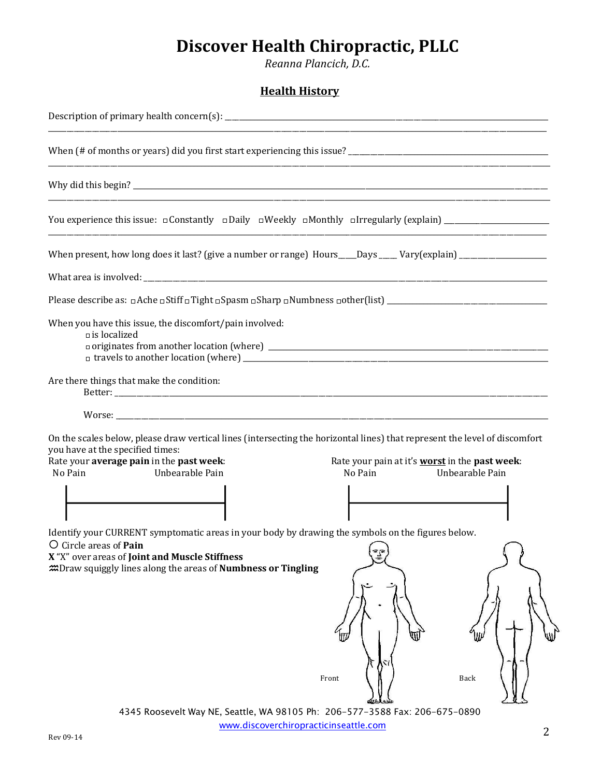Reanna Plancich, D.C.

### **Health History**

| the control of the control of the control of the control of the control of the control of                                                                                                                                                                                                                                                                          |
|--------------------------------------------------------------------------------------------------------------------------------------------------------------------------------------------------------------------------------------------------------------------------------------------------------------------------------------------------------------------|
|                                                                                                                                                                                                                                                                                                                                                                    |
| ,我们也不能在这里的时候,我们也不能在这里的时候,我们也不能不能不能不能不能不能不能不能不能不能不能不能不能不能不能。""我们的是,我们也不能不能不能不能不能不                                                                                                                                                                                                                                                                                   |
|                                                                                                                                                                                                                                                                                                                                                                    |
| When present, how long does it last? (give a number or range) Hours___Days ____Vary(explain) _____________                                                                                                                                                                                                                                                         |
|                                                                                                                                                                                                                                                                                                                                                                    |
|                                                                                                                                                                                                                                                                                                                                                                    |
| When you have this issue, the discomfort/pain involved:<br>$\Box$ is localized                                                                                                                                                                                                                                                                                     |
| Are there things that make the condition:                                                                                                                                                                                                                                                                                                                          |
|                                                                                                                                                                                                                                                                                                                                                                    |
| On the scales below, please draw vertical lines (intersecting the horizontal lines) that represent the level of discomfort<br>you have at the specified times:<br>Rate your average pain in the past week:<br>Rate your pain at it's worst in the past week:<br>No Pain<br>Unbearable Pain<br>No Pain<br>Unbearable Pain                                           |
|                                                                                                                                                                                                                                                                                                                                                                    |
| Identify your CURRENT symptomatic areas in your body by drawing the symbols on the figures below.<br>O Circle areas of <b>Pain</b><br>X "X" over areas of Joint and Muscle Stiffness<br><b><i>IDraw squiggly lines along the areas of Numbness or Tingling</i></b><br>Front<br>Back<br>4345 Roosevelt Way NE, Seattle, WA 98105 Ph: 206-577-3588 Fax: 206-675-0890 |
|                                                                                                                                                                                                                                                                                                                                                                    |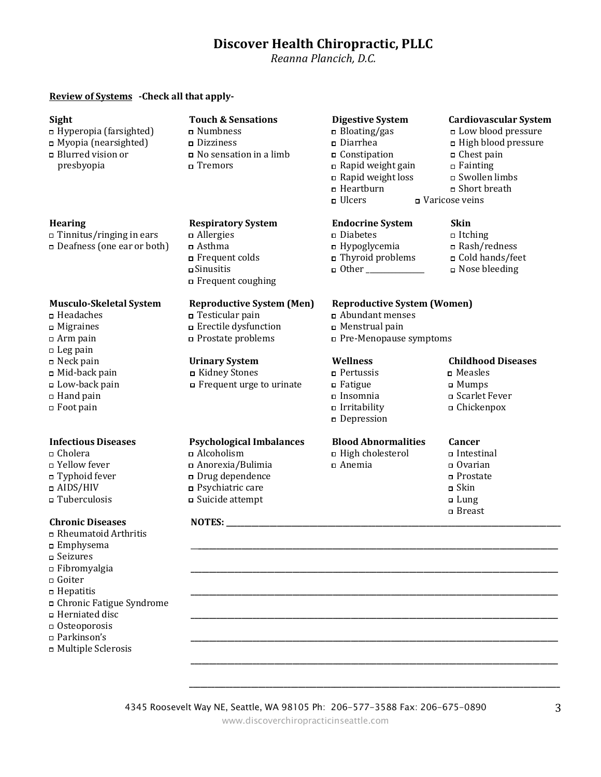Reanna Plancich, D.C.

### Review of Systems - Check all that apply-

### Sight

- $\Box$  Hyperopia (farsighted)
- $\Box$  Myopia (nearsighted)
- $\Box$  Blurred vision or presbyopia

### Hearing

### $\Box$  Tinnitus/ringing in ears Deafness (one ear or both)

### **Musculo-Skeletal System**

- $\Box$  Headaches
- $\Box$  Migraines
- $\Box$  Arm pain
- $\Box$  Leg pain
- $\Box$  Neck pain
- $\Box$  Mid-back pain
- □ Low-back pain
- $\Box$  Hand pain
- $\Box$  Foot pain

### **Infectious Diseases**

- $\Box$  Cholera
- □ Yellow fever
- □ Typhoid fever
- $\square$ AIDS/HIV
- $\Box$  Tuberculosis

### **Chronic Diseases**

- □ Rheumatoid Arthritis
- $\square$  Emphysema
- □ Seizures
- $\Box$  Fibromyalgia  $Gotter$
- $\Box$  Hepatitis
- 
- □ Chronic Fatigue Syndrome □ Herniated disc
- □ Osteoporosis
- □ Parkinson's
- n Multiple Sclerosis

### **Touch & Sensations** □ Numbness

- $\square$  Dizziness
- $\Box$  No sensation in a limb n Tremors

**Respiratory System** 

□ Frequent colds

 $\Box$  Allergies

□ Asthma

□ Sinusitis

### **Digestive System**

- $\overline{\phantom{a}}$  Bloating/gas  $\square$  Diarrhea  $\Box$  Constipation  $\Box$  Rapid weight gain
- □ Rapid weight loss
- □ Heartburn
- $\Box$  Ulcers

### **Endocrine System**

a Abundant menses

□ Pre-Menopause symptoms

 $\Box$  Menstrual pain

**Wellness** 

 $\Box$  Fatigue

 $\Box$  Anemia

 $\Box$  Pertussis

 $\Box$ Insomnia

 $\Box$  Irritability

□ Depression

**Blood Abnormalities** 

High cholesterol

- $\square$  Diabetes  $\Box$ Itching  $\Box$  Hypoglycemia □ Rash/redness □ Thyroid problems □ Cold hands/feet  $\Box$  Other □ Nose bleeding
- **Reproductive System (Men) Reproductive System (Women)**
- ⊔ Testicular pain □ Erectile dysfunction □ Prostate problems

Frequent coughing

### **Urinary System**

- □ Kidney Stones Frequent urge to urinate
- 

### **Psychological Imbalances**

- a Alcoholism □ Anorexia/Bulimia Drug dependence
- □ Psychiatric care □ Suicide attempt

### NOTES: NOTES:

4345 Roosevelt Way NE, Seattle, WA 98105 Ph: 206-577-3588 Fax: 206-675-0890

www.discoverchiropracticinseattle.com

### **Childhood Diseases**

**Cardiovascular System** 

□ Low blood pressure

High blood pressure

□ Chest pain

□ Swollen limbs

□ Short breath

 $\Box$  Fainting

a Varicose veins

**Skin** 

- $\Box$  Measles
- □ Mumps
- □ Scarlet Fever
- □ Chickenpox

### Cancer

- Intestinal
- $\Box$  Ovarian
- □ Prostate
- $\Box$  Skin
- $\Box$  Lung
- □ Breast

3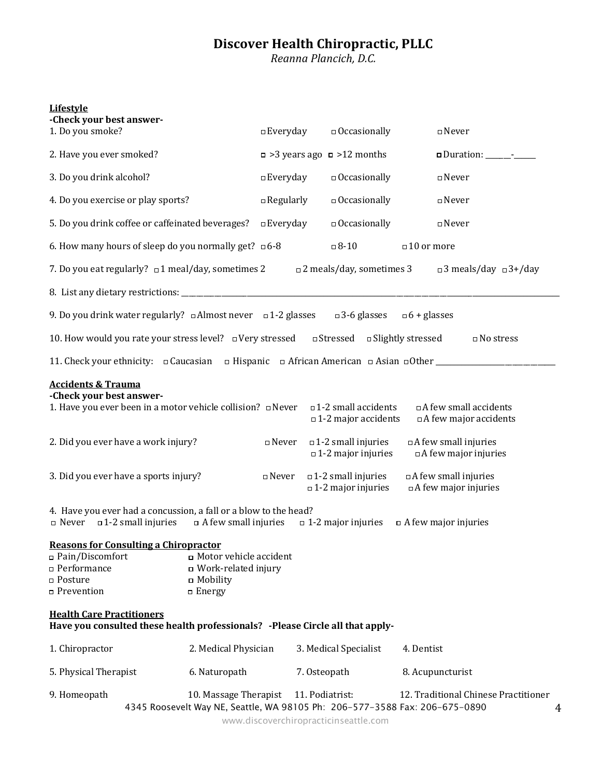# **Discover Health Chiropractic, PLLC**<br>Reanna Plancich, D.C.

### **Lifestyle**

| -Check your best answer-<br>1. Do you smoke?                                                                                                                         |                                                                 | $\square$ Everyday | $\Box$ Occasionally                                                                                                   | $\square$ Never                                                                                                          |
|----------------------------------------------------------------------------------------------------------------------------------------------------------------------|-----------------------------------------------------------------|--------------------|-----------------------------------------------------------------------------------------------------------------------|--------------------------------------------------------------------------------------------------------------------------|
| 2. Have you ever smoked?                                                                                                                                             |                                                                 |                    | $\Box$ >3 years ago $\Box$ >12 months                                                                                 |                                                                                                                          |
| 3. Do you drink alcohol?                                                                                                                                             |                                                                 | $\square$ Everyday | $\Box$ Occasionally                                                                                                   | $\square$ Never                                                                                                          |
| 4. Do you exercise or play sports?                                                                                                                                   |                                                                 | $\Box$ Regularly   | $\Box$ Occasionally                                                                                                   | $\square$ Never                                                                                                          |
| 5. Do you drink coffee or caffeinated beverages?                                                                                                                     |                                                                 | $\square$ Everyday | $\Box$ Occasionally                                                                                                   | $\square$ Never                                                                                                          |
| 6. How many hours of sleep do you normally get? $\Box$ 6-8                                                                                                           |                                                                 |                    | $\Box$ 8-10                                                                                                           | $\square$ 10 or more                                                                                                     |
| 7. Do you eat regularly? $\Box$ 1 meal/day, sometimes 2                                                                                                              |                                                                 |                    | $\Box$ 2 meals/day, sometimes 3                                                                                       | $\Box$ 3 meals/day $\Box$ 3+/day                                                                                         |
|                                                                                                                                                                      |                                                                 |                    |                                                                                                                       |                                                                                                                          |
| 9. Do you drink water regularly? $\Box$ Almost never $\Box$ 1-2 glasses                                                                                              |                                                                 |                    | $\Box$ 3-6 glasses $\Box$ 6 + glasses                                                                                 |                                                                                                                          |
| 10. How would you rate your stress level? $\Box$ Very stressed $\Box$ Stressed $\Box$ Slightly stressed                                                              |                                                                 |                    |                                                                                                                       | $\square$ No stress                                                                                                      |
|                                                                                                                                                                      |                                                                 |                    |                                                                                                                       |                                                                                                                          |
| <b>Accidents &amp; Trauma</b><br>-Check your best answer-<br>1. Have you ever been in a motor vehicle collision? $\Box$ Never<br>2. Did you ever have a work injury? |                                                                 | $\square$ Never    | $\square$ 1-2 small accidents<br>$\Box$ 1-2 major accidents<br>$\Box$ 1-2 small injuries<br>$\Box$ 1-2 major injuries | □ A few small accidents<br>$\Box$ A few major accidents<br>$\Box$ A few small injuries<br>□ A few major injuries         |
| 3. Did you ever have a sports injury?                                                                                                                                |                                                                 | $\square$ Never    | $\Box$ 1-2 small injuries<br>$\Box$ 1-2 major injuries                                                                | $\Box$ A few small injuries<br>$\Box$ A few major injuries                                                               |
| 4. Have you ever had a concussion, a fall or a blow to the head?<br>Injuries of A few small injuries on A few small injuries                                         |                                                                 |                    | $\Box$ 1-2 major injuries                                                                                             | $\Box$ A few major injuries                                                                                              |
| <b>Reasons for Consulting a Chiropractor</b><br>□ Pain/Discomfort<br>□ Performance<br>□ Posture                                                                      | □ Motor vehicle accident<br>u Work-related injury<br>□ Mobility |                    |                                                                                                                       |                                                                                                                          |
| □ Prevention                                                                                                                                                         | $\Box$ Energy                                                   |                    |                                                                                                                       |                                                                                                                          |
| <b>Health Care Practitioners</b><br>Have you consulted these health professionals? - Please Circle all that apply-                                                   |                                                                 |                    |                                                                                                                       |                                                                                                                          |
| 1. Chiropractor                                                                                                                                                      | 2. Medical Physician                                            |                    | 3. Medical Specialist                                                                                                 | 4. Dentist                                                                                                               |
| 5. Physical Therapist                                                                                                                                                | 6. Naturopath                                                   |                    | 7. Osteopath                                                                                                          | 8. Acupuncturist                                                                                                         |
| 9. Homeopath                                                                                                                                                         | 10. Massage Therapist                                           |                    | 11. Podiatrist:                                                                                                       | 12. Traditional Chinese Practitioner<br>4345 Roosevelt Way NE, Seattle, WA 98105 Ph: 206-577-3588 Fax: 206-675-0890<br>4 |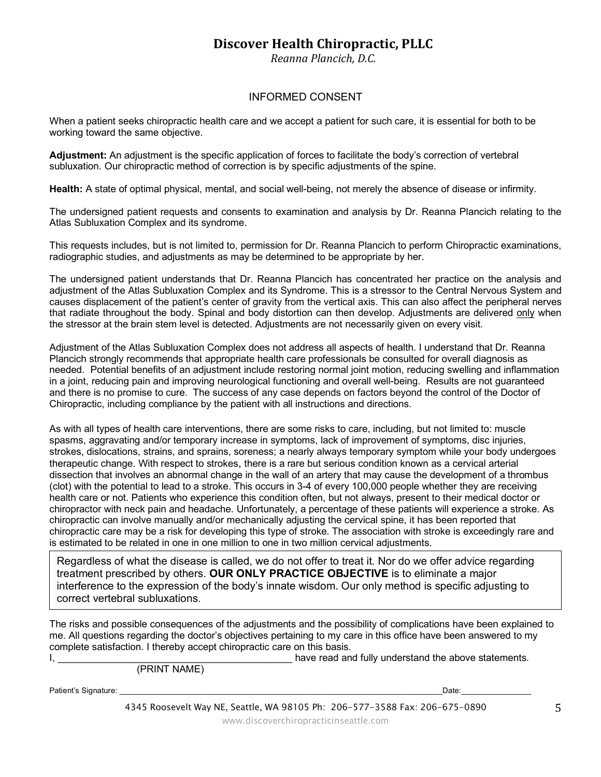Reanna Plancich, D.C.

### **INFORMED CONSENT**

When a patient seeks chiropractic health care and we accept a patient for such care, it is essential for both to be working toward the same objective.

Adjustment: An adjustment is the specific application of forces to facilitate the body's correction of vertebral subluxation. Our chiropractic method of correction is by specific adjustments of the spine.

Health: A state of optimal physical, mental, and social well-being, not merely the absence of disease or infirmity.

The undersigned patient requests and consents to examination and analysis by Dr. Reanna Plancich relating to the Atlas Subluxation Complex and its syndrome.

This requests includes, but is not limited to, permission for Dr. Reanna Plancich to perform Chiropractic examinations, radiographic studies, and adjustments as may be determined to be appropriate by her.

The undersigned patient understands that Dr. Reanna Plancich has concentrated her practice on the analysis and adjustment of the Atlas Subluxation Complex and its Syndrome. This is a stressor to the Central Nervous System and causes displacement of the patient's center of gravity from the vertical axis. This can also affect the peripheral nerves that radiate throughout the body. Spinal and body distortion can then develop. Adjustments are delivered only when the stressor at the brain stem level is detected. Adjustments are not necessarily given on every visit.

Adjustment of the Atlas Subluxation Complex does not address all aspects of health. I understand that Dr. Reanna Plancich strongly recommends that appropriate health care professionals be consulted for overall diagnosis as needed. Potential benefits of an adjustment include restoring normal joint motion, reducing swelling and inflammation in a joint, reducing pain and improving neurological functioning and overall well-being. Results are not guaranteed and there is no promise to cure. The success of any case depends on factors beyond the control of the Doctor of Chiropractic, including compliance by the patient with all instructions and directions.

As with all types of health care interventions, there are some risks to care, including, but not limited to: muscle spasms, aggravating and/or temporary increase in symptoms, lack of improvement of symptoms, disc injuries, strokes, dislocations, strains, and sprains, soreness; a nearly always temporary symptom while your body undergoes therapeutic change. With respect to strokes, there is a rare but serious condition known as a cervical arterial dissection that involves an abnormal change in the wall of an artery that may cause the development of a thrombus (clot) with the potential to lead to a stroke. This occurs in 3-4 of every 100,000 people whether they are receiving health care or not. Patients who experience this condition often, but not always, present to their medical doctor or chiropractor with neck pain and headache. Unfortunately, a percentage of these patients will experience a stroke. As chiropractic can involve manually and/or mechanically adjusting the cervical spine, it has been reported that chiropractic care may be a risk for developing this type of stroke. The association with stroke is exceedingly rare and is estimated to be related in one in one million to one in two million cervical adjustments.

Regardless of what the disease is called, we do not offer to treat it. Nor do we offer advice regarding treatment prescribed by others. OUR ONLY PRACTICE OBJECTIVE is to eliminate a major interference to the expression of the body's innate wisdom. Our only method is specific adjusting to correct vertebral subluxations.

The risks and possible consequences of the adjustments and the possibility of complications have been explained to me. All questions regarding the doctor's objectives pertaining to my care in this office have been answered to my complete satisfaction. I thereby accept chiropractic care on this basis. have read and fully understand the above statements.  $\mathsf{I}, \mathsf{I}$ 

(PRINT NAME)

Patient's Signature:

Date: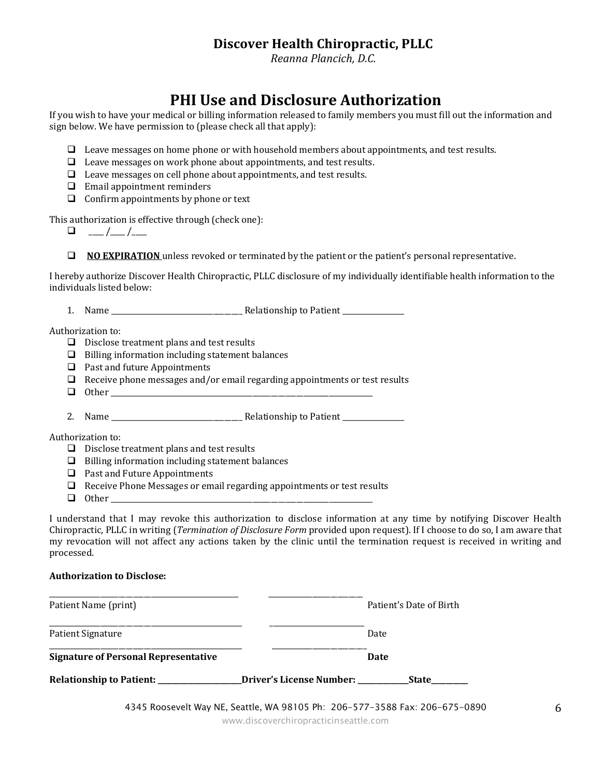Reanna Plancich, D.C.

## PHI Use and Disclosure Authorization

If you wish to have your medical or billing information released to family members you must fill out the information and sign below. We have permission to (please check all that apply):

- $\Box$  Leave messages on home phone or with household members about appointments, and test results.
- $\Box$  Leave messages on work phone about appointments, and test results.
- $\Box$  Leave messages on cell phone about appointments, and test results.
- $\Box$  Email appointment reminders
- $\Box$  Confirm appointments by phone or text

This authorization is effective through (check one):

 $\Box$  **NO EXPIRATION** unless revoked or terminated by the patient or the patient's personal representative.

I hereby authorize Discover Health Chiropractic, PLLC disclosure of my individually identifiable health information to the individuals listed below:

Authorization to:

- $\Box$  Disclose treatment plans and test results
- $\Box$  Billing information including statement balances
- $\Box$  Past and future Appointments
- $\Box$  Receive phone messages and/or email regarding appointments or test results
- $\Box$  Other

Authorization to:

- $\Box$  Disclose treatment plans and test results
- $\Box$  Billing information including statement balances
- $\Box$  Past and Future Appointments
- $\Box$  Receive Phone Messages or email regarding appointments or test results
- $\Box$  Other

I understand that I may revoke this authorization to disclose information at any time by notifying Discover Health Chiropractic, PLLC in writing (Termination of Disclosure Form provided upon request). If I choose to do so, I am aware that my revocation will not affect any actions taken by the clinic until the termination request is received in writing and processed.

### **Authorization to Disclose:**

| Patient Name (print)                        |                          | Patient's Date of Birth |
|---------------------------------------------|--------------------------|-------------------------|
| Patient Signature                           |                          | Date                    |
| <b>Signature of Personal Representative</b> |                          | Date                    |
| Relationship to Patient: ____________       | Driver's License Number: | <b>State</b>            |
|                                             |                          | - - - - - - - - - - - - |

4345 Roosevelt Way NE, Seattle, WA 98105 Ph: 206-577-3588 Fax: 206-675-0890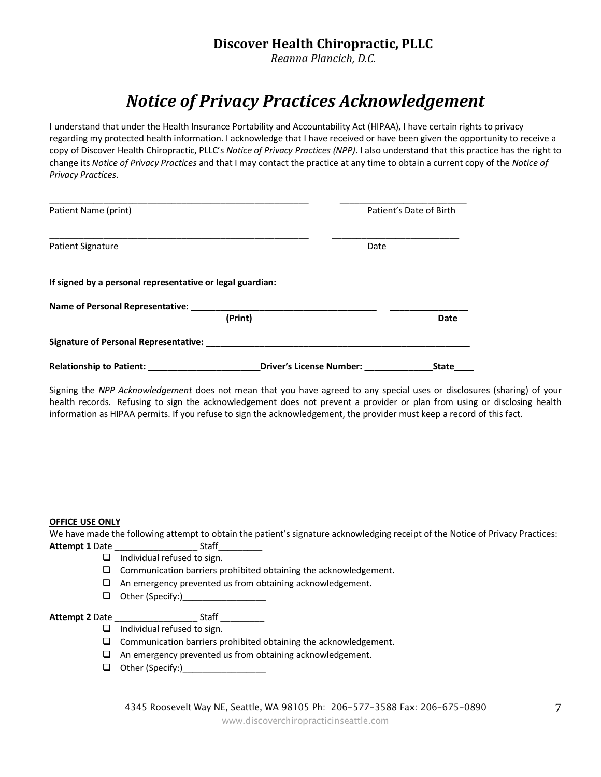Reanna Plancich, D.C.

# **Notice of Privacy Practices Acknowledgement**

I understand that under the Health Insurance Portability and Accountability Act (HIPAA), I have certain rights to privacy regarding my protected health information. I acknowledge that I have received or have been given the opportunity to receive a copy of Discover Health Chiropractic, PLLC's Notice of Privacy Practices (NPP). I also understand that this practice has the right to change its Notice of Privacy Practices and that I may contact the practice at any time to obtain a current copy of the Notice of Privacy Practices.

| Patient Name (print)                                      |                                 | Patient's Date of Birth |              |
|-----------------------------------------------------------|---------------------------------|-------------------------|--------------|
| <b>Patient Signature</b>                                  |                                 | Date                    |              |
| If signed by a personal representative or legal guardian: |                                 |                         |              |
| Name of Personal Representative:                          |                                 |                         |              |
| (Print)                                                   |                                 |                         | Date         |
| Signature of Personal Representative:                     |                                 |                         |              |
| <b>Relationship to Patient:</b>                           | <b>Driver's License Number:</b> |                         | <b>State</b> |

Signing the NPP Acknowledgement does not mean that you have agreed to any special uses or disclosures (sharing) of your health records. Refusing to sign the acknowledgement does not prevent a provider or plan from using or disclosing health information as HIPAA permits. If you refuse to sign the acknowledgement, the provider must keep a record of this fact.

### **OFFICE USE ONLY**

We have made the following attempt to obtain the patient's signature acknowledging receipt of the Notice of Privacy Practices: **Attempt 1 Date** \_ Staff\_

- $\Box$  Individual refused to sign.
- $\Box$  Communication barriers prohibited obtaining the acknowledgement.
- $\Box$  An emergency prevented us from obtaining acknowledgement.
- $\Box$  Other (Specify:)

 $\overline{\phantom{a}}$  Staff  $\overline{\phantom{a}}$ **Attempt 2 Date** 

- $\Box$  Individual refused to sign.
- $\Box$  Communication barriers prohibited obtaining the acknowledgement.
- $\Box$  An emergency prevented us from obtaining acknowledgement.
- $\Box$  Other (Specify:)